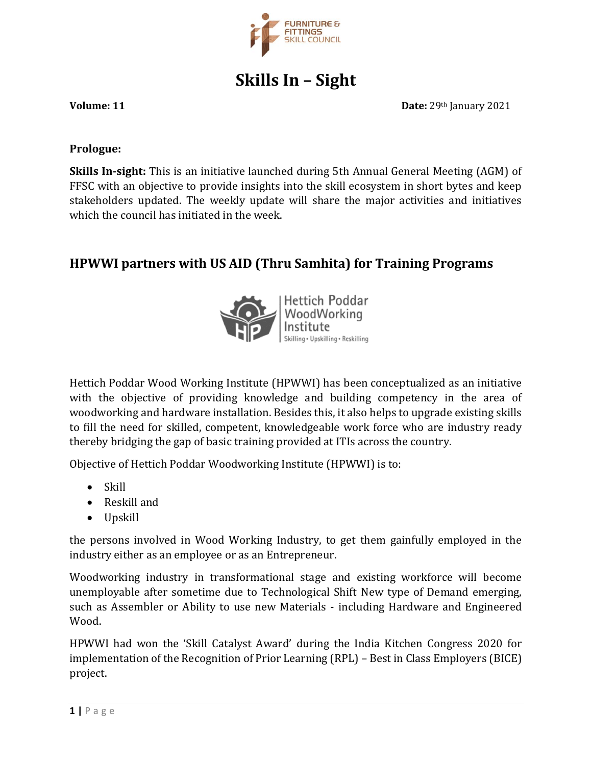

**Skills In – Sight**

**Volume: 11 Date:** 29th January 2021

#### **Prologue:**

**Skills In-sight:** This is an initiative launched during 5th Annual General Meeting (AGM) of FFSC with an objective to provide insights into the skill ecosystem in short bytes and keep stakeholders updated. The weekly update will share the major activities and initiatives which the council has initiated in the week.

## **HPWWI partners with US AID (Thru Samhita) for Training Programs**



Hettich Poddar Wood Working Institute (HPWWI) has been conceptualized as an initiative with the objective of providing knowledge and building competency in the area of woodworking and hardware installation. Besides this, it also helps to upgrade existing skills to fill the need for skilled, competent, knowledgeable work force who are industry ready thereby bridging the gap of basic training provided at ITIs across the country.

Objective of Hettich Poddar Woodworking Institute (HPWWI) is to:

- Skill
- Reskill and
- Upskill

the persons involved in Wood Working Industry, to get them gainfully employed in the industry either as an employee or as an Entrepreneur.

Woodworking industry in transformational stage and existing workforce will become unemployable after sometime due to Technological Shift New type of Demand emerging, such as Assembler or Ability to use new Materials - including Hardware and Engineered Wood.

HPWWI had won the 'Skill Catalyst Award' during the India Kitchen Congress 2020 for implementation of the Recognition of Prior Learning (RPL) – Best in Class Employers (BICE) project.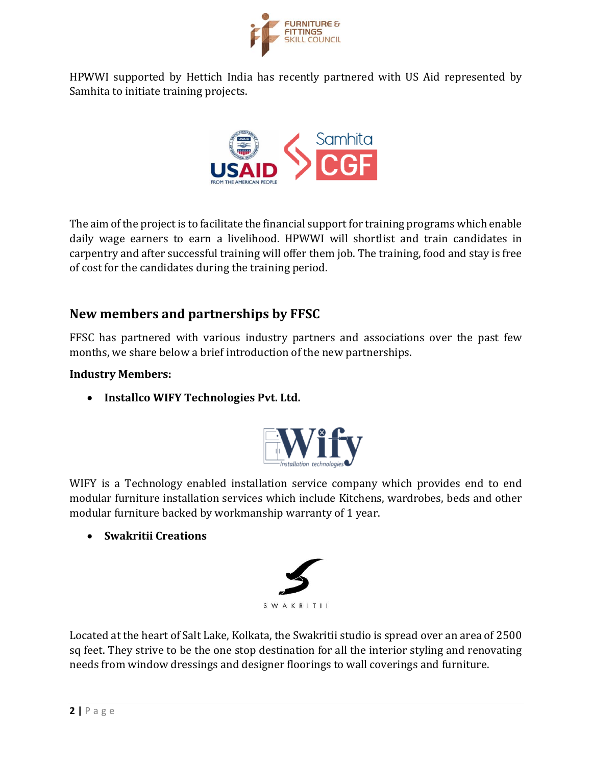

HPWWI supported by Hettich India has recently partnered with US Aid represented by Samhita to initiate training projects.



The aim of the project is to facilitate the financial support for training programs which enable daily wage earners to earn a livelihood. HPWWI will shortlist and train candidates in carpentry and after successful training will offer them job. The training, food and stay is free of cost for the candidates during the training period.

## **New members and partnerships by FFSC**

FFSC has partnered with various industry partners and associations over the past few months, we share below a brief introduction of the new partnerships.

### **Industry Members:**

• **Installco WIFY Technologies Pvt. Ltd.**



WIFY is a Technology enabled installation service company which provides end to end modular furniture installation services which include Kitchens, wardrobes, beds and other modular furniture backed by workmanship warranty of 1 year.

• **Swakritii Creations**



Located at the heart of Salt Lake, Kolkata, the Swakritii studio is spread over an area of 2500 sq feet. They strive to be the one stop destination for all the interior styling and renovating needs from window dressings and designer floorings to wall coverings and furniture.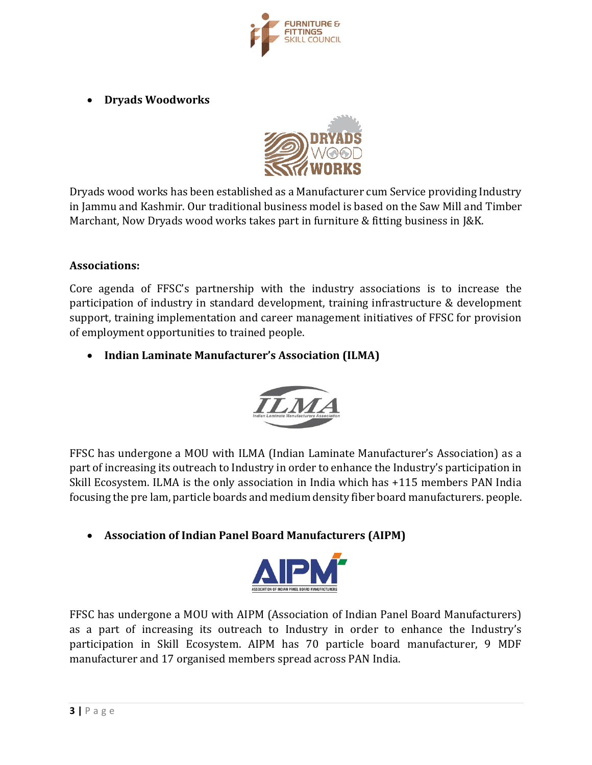

• **Dryads Woodworks**



Dryads wood works has been established as a Manufacturer cum Service providing Industry in Jammu and Kashmir. Our traditional business model is based on the Saw Mill and Timber Marchant, Now Dryads wood works takes part in furniture & fitting business in J&K.

#### **Associations:**

Core agenda of FFSC's partnership with the industry associations is to increase the participation of industry in standard development, training infrastructure & development support, training implementation and career management initiatives of FFSC for provision of employment opportunities to trained people.

• **Indian Laminate Manufacturer's Association (ILMA)**



FFSC has undergone a MOU with ILMA (Indian Laminate Manufacturer's Association) as a part of increasing its outreach to Industry in order to enhance the Industry's participation in Skill Ecosystem. ILMA is the only association in India which has +115 members PAN India focusing the pre lam, particle boards and medium density fiber board manufacturers. people.

• **Association of Indian Panel Board Manufacturers (AIPM)**



FFSC has undergone a MOU with AIPM (Association of Indian Panel Board Manufacturers) as a part of increasing its outreach to Industry in order to enhance the Industry's participation in Skill Ecosystem. AIPM has 70 particle board manufacturer, 9 MDF manufacturer and 17 organised members spread across PAN India.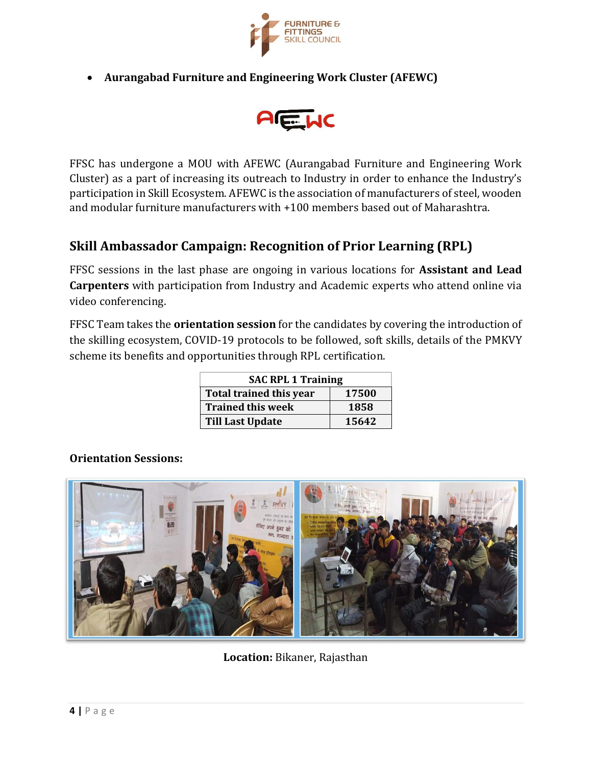

• **Aurangabad Furniture and Engineering Work Cluster (AFEWC)**



FFSC has undergone a MOU with AFEWC (Aurangabad Furniture and Engineering Work Cluster) as a part of increasing its outreach to Industry in order to enhance the Industry's participation in Skill Ecosystem. AFEWC is the association of manufacturers of steel, wooden and modular furniture manufacturers with +100 members based out of Maharashtra.

## **Skill Ambassador Campaign: Recognition of Prior Learning (RPL)**

FFSC sessions in the last phase are ongoing in various locations for **Assistant and Lead Carpenters** with participation from Industry and Academic experts who attend online via video conferencing.

FFSC Team takes the **orientation session** for the candidates by covering the introduction of the skilling ecosystem, COVID-19 protocols to be followed, soft skills, details of the PMKVY scheme its benefits and opportunities through RPL certification.

| <b>SAC RPL 1 Training</b> |       |
|---------------------------|-------|
| Total trained this year   | 17500 |
| <b>Trained this week</b>  | 1858  |
| <b>Till Last Update</b>   | 15642 |

#### **Orientation Sessions:**



**Location:** Bikaner, Rajasthan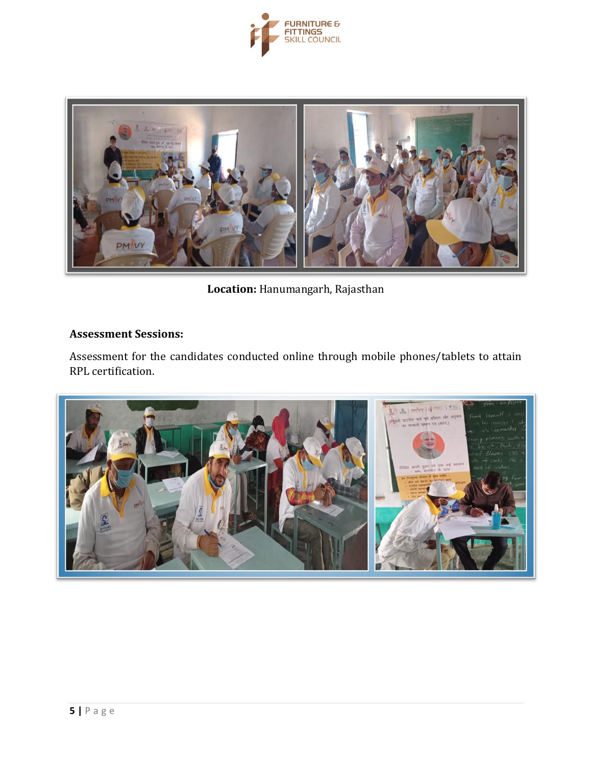



**Location:** Hanumangarh, Rajasthan

## **Assessment Sessions:**

Assessment for the candidates conducted online through mobile phones/tablets to attain RPL certification.

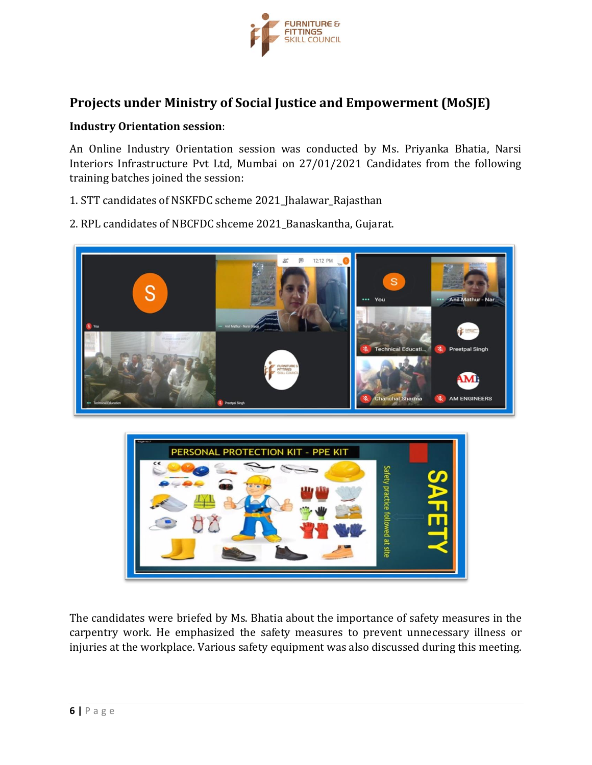

## **Projects under Ministry of Social Justice and Empowerment (MoSJE)**

#### **Industry Orientation session**:

An Online Industry Orientation session was conducted by Ms. Priyanka Bhatia, Narsi Interiors Infrastructure Pvt Ltd, Mumbai on 27/01/2021 Candidates from the following training batches joined the session:

- 1. STT candidates of NSKFDC scheme 2021\_Jhalawar\_Rajasthan
- 2. RPL candidates of NBCFDC shceme 2021 Banaskantha, Gujarat.





The candidates were briefed by Ms. Bhatia about the importance of safety measures in the carpentry work. He emphasized the safety measures to prevent unnecessary illness or injuries at the workplace. Various safety equipment was also discussed during this meeting.